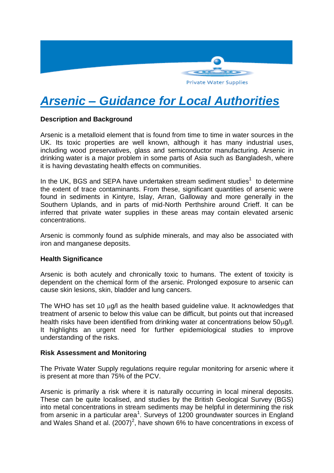

# *Arsenic – Guidance for Local Authorities*

## **Description and Background**

Arsenic is a metalloid element that is found from time to time in water sources in the UK. Its toxic properties are well known, although it has many industrial uses, including wood preservatives, glass and semiconductor manufacturing. Arsenic in drinking water is a major problem in some parts of Asia such as Bangladesh, where it is having devastating health effects on communities.

In the UK, BGS and SEPA have undertaken stream sediment studies $<sup>1</sup>$  to determine</sup> the extent of trace contaminants. From these, significant quantities of arsenic were found in sediments in Kintyre, Islay, Arran, Galloway and more generally in the Southern Uplands, and in parts of mid-North Perthshire around Crieff. It can be inferred that private water supplies in these areas may contain elevated arsenic concentrations.

Arsenic is commonly found as sulphide minerals, and may also be associated with iron and manganese deposits.

#### **Health Significance**

Arsenic is both acutely and chronically toxic to humans. The extent of toxicity is dependent on the chemical form of the arsenic. Prolonged exposure to arsenic can cause skin lesions, skin, bladder and lung cancers.

The WHO has set 10  $\mu$ g/l as the health based guideline value. It acknowledges that treatment of arsenic to below this value can be difficult, but points out that increased health risks have been identified from drinking water at concentrations below  $50\mu g/l$ . It highlights an urgent need for further epidemiological studies to improve understanding of the risks.

#### **Risk Assessment and Monitoring**

The Private Water Supply regulations require regular monitoring for arsenic where it is present at more than 75% of the PCV.

Arsenic is primarily a risk where it is naturally occurring in local mineral deposits. These can be quite localised, and studies by the British Geological Survey (BGS) into metal concentrations in stream sediments may be helpful in determining the risk from arsenic in a particular area<sup>1</sup>. Surveys of 1200 groundwater sources in England and Wales Shand et al.  $(2007)^2$ , have shown 6% to have concentrations in excess of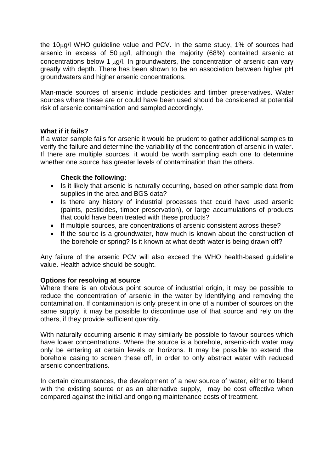the  $10\mu$ g/l WHO guideline value and PCV. In the same study, 1% of sources had arsenic in excess of 50  $\mu$ g/l, although the majority (68%) contained arsenic at concentrations below 1 ug/l. In groundwaters, the concentration of arsenic can vary greatly with depth. There has been shown to be an association between higher pH groundwaters and higher arsenic concentrations.

Man-made sources of arsenic include pesticides and timber preservatives. Water sources where these are or could have been used should be considered at potential risk of arsenic contamination and sampled accordingly.

## **What if it fails?**

If a water sample fails for arsenic it would be prudent to gather additional samples to verify the failure and determine the variability of the concentration of arsenic in water. If there are multiple sources, it would be worth sampling each one to determine whether one source has greater levels of contamination than the others.

## **Check the following:**

- Is it likely that arsenic is naturally occurring, based on other sample data from supplies in the area and BGS data?
- Is there any history of industrial processes that could have used arsenic (paints, pesticides, timber preservation), or large accumulations of products that could have been treated with these products?
- If multiple sources, are concentrations of arsenic consistent across these?
- If the source is a groundwater, how much is known about the construction of the borehole or spring? Is it known at what depth water is being drawn off?

Any failure of the arsenic PCV will also exceed the WHO health-based guideline value. Health advice should be sought.

## **Options for resolving at source**

Where there is an obvious point source of industrial origin, it may be possible to reduce the concentration of arsenic in the water by identifying and removing the contamination. If contamination is only present in one of a number of sources on the same supply, it may be possible to discontinue use of that source and rely on the others, if they provide sufficient quantity.

With naturally occurring arsenic it may similarly be possible to favour sources which have lower concentrations. Where the source is a borehole, arsenic-rich water may only be entering at certain levels or horizons. It may be possible to extend the borehole casing to screen these off, in order to only abstract water with reduced arsenic concentrations.

In certain circumstances, the development of a new source of water, either to blend with the existing source or as an alternative supply, may be cost effective when compared against the initial and ongoing maintenance costs of treatment.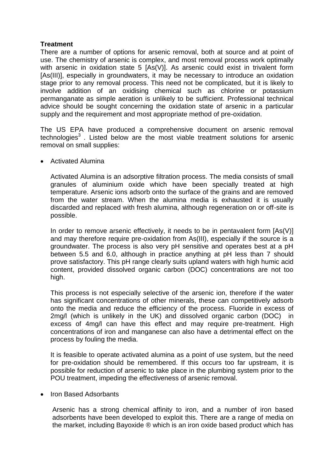# **Treatment**

There are a number of options for arsenic removal, both at source and at point of use. The chemistry of arsenic is complex, and most removal process work optimally with arsenic in oxidation state 5 [As(V)]. As arsenic could exist in trivalent form [As(III)], especially in groundwaters, it may be necessary to introduce an oxidation stage prior to any removal process. This need not be complicated, but it is likely to involve addition of an oxidising chemical such as chlorine or potassium permanganate as simple aeration is unlikely to be sufficient. Professional technical advice should be sought concerning the oxidation state of arsenic in a particular supply and the requirement and most appropriate method of pre-oxidation.

The US EPA have produced a comprehensive document on arsenic removal technologies $3$ . Listed below are the most viable treatment solutions for arsenic removal on small supplies:

Activated Alumina

Activated Alumina is an adsorptive filtration process. The media consists of small granules of aluminium oxide which have been specially treated at high temperature. Arsenic ions adsorb onto the surface of the grains and are removed from the water stream. When the alumina media is exhausted it is usually discarded and replaced with fresh alumina, although regeneration on or off-site is possible.

In order to remove arsenic effectively, it needs to be in pentavalent form [As(V)] and may therefore require pre-oxidation from As(III), especially if the source is a groundwater. The process is also very pH sensitive and operates best at a pH between 5.5 and 6.0, although in practice anything at pH less than 7 should prove satisfactory. This pH range clearly suits upland waters with high humic acid content, provided dissolved organic carbon (DOC) concentrations are not too high.

This process is not especially selective of the arsenic ion, therefore if the water has significant concentrations of other minerals, these can competitively adsorb onto the media and reduce the efficiency of the process. Fluoride in excess of 2mg/l (which is unlikely in the UK) and dissolved organic carbon (DOC) in excess of 4mg/l can have this effect and may require pre-treatment. High concentrations of iron and manganese can also have a detrimental effect on the process by fouling the media.

It is feasible to operate activated alumina as a point of use system, but the need for pre-oxidation should be remembered. If this occurs too far upstream, it is possible for reduction of arsenic to take place in the plumbing system prior to the POU treatment, impeding the effectiveness of arsenic removal.

• Iron Based Adsorbants

Arsenic has a strong chemical affinity to iron, and a number of iron based adsorbents have been developed to exploit this. There are a range of media on the market, including Bayoxide ® which is an iron oxide based product which has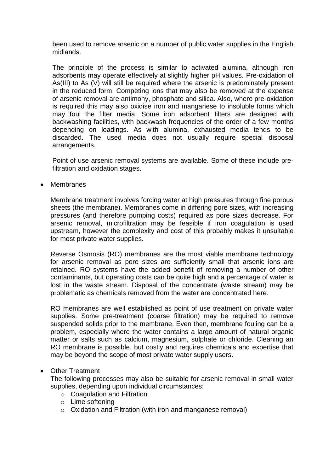been used to remove arsenic on a number of public water supplies in the English midlands.

The principle of the process is similar to activated alumina, although iron adsorbents may operate effectively at slightly higher pH values. Pre-oxidation of As(III) to As (V) will still be required where the arsenic is predominately present in the reduced form. Competing ions that may also be removed at the expense of arsenic removal are antimony, phosphate and silica. Also, where pre-oxidation is required this may also oxidise iron and manganese to insoluble forms which may foul the filter media. Some iron adsorbent filters are designed with backwashing facilities, with backwash frequencies of the order of a few months depending on loadings. As with alumina, exhausted media tends to be discarded. The used media does not usually require special disposal arrangements.

Point of use arsenic removal systems are available. Some of these include prefiltration and oxidation stages.

Membranes

Membrane treatment involves forcing water at high pressures through fine porous sheets (the membrane). Membranes come in differing pore sizes, with increasing pressures (and therefore pumping costs) required as pore sizes decrease. For arsenic removal, microfiltration may be feasible if iron coagulation is used upstream, however the complexity and cost of this probably makes it unsuitable for most private water supplies.

Reverse Osmosis (RO) membranes are the most viable membrane technology for arsenic removal as pore sizes are sufficiently small that arsenic ions are retained. RO systems have the added benefit of removing a number of other contaminants, but operating costs can be quite high and a percentage of water is lost in the waste stream. Disposal of the concentrate (waste stream) may be problematic as chemicals removed from the water are concentrated here.

RO membranes are well established as point of use treatment on private water supplies. Some pre-treatment (coarse filtration) may be required to remove suspended solids prior to the membrane. Even then, membrane fouling can be a problem, especially where the water contains a large amount of natural organic matter or salts such as calcium, magnesium, sulphate or chloride. Cleaning an RO membrane is possible, but costly and requires chemicals and expertise that may be beyond the scope of most private water supply users.

Other Treatment

The following processes may also be suitable for arsenic removal in small water supplies, depending upon individual circumstances:

- o Coagulation and Filtration
- o Lime softening
- o Oxidation and Filtration (with iron and manganese removal)